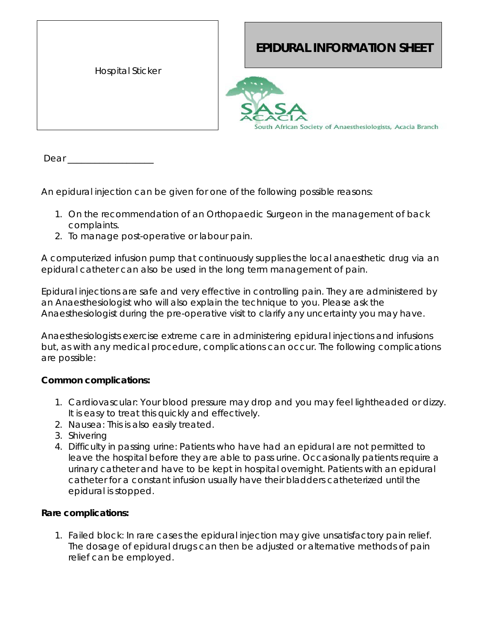| <b>Hospital Sticker</b> |
|-------------------------|
|                         |

## **EPIDURAL INFORMATION SHEET**



Dear  $\_\_$ 

An epidural injection can be given for one of the following possible reasons:

- 1. On the recommendation of an Orthopaedic Surgeon in the management of back complaints.
- 2. To manage post-operative or labour pain.

A computerized infusion pump that continuously supplies the local anaesthetic drug via an epidural catheter can also be used in the long term management of pain.

Epidural injections are safe and very effective in controlling pain. They are administered by an Anaesthesiologist who will also explain the technique to you. Please ask the Anaesthesiologist during the pre-operative visit to clarify any uncertainty you may have.

Anaesthesiologists exercise extreme care in administering epidural injections and infusions but, as with any medical procedure, complications can occur. The following complications are possible:

## **Common complications:**

- 1. *Cardiovascular*: Your blood pressure may drop and you may feel lightheaded or dizzy. It is easy to treat this quickly and effectively.
- 2. *Nausea:* This is also easily treated*.*
- 3. *Shivering*
- 4. *Difficulty in passing urine*: Patients who have had an epidural are not permitted to leave the hospital before they are able to pass urine. Occasionally patients require a urinary catheter and have to be kept in hospital overnight. Patients with an epidural catheter for a constant infusion usually have their bladders catheterized until the epidural is stopped.

## **Rare complications:**

1. *Failed block*: In rare cases the epidural injection may give unsatisfactory pain relief. The dosage of epidural drugs can then be adjusted or alternative methods of pain relief can be employed.